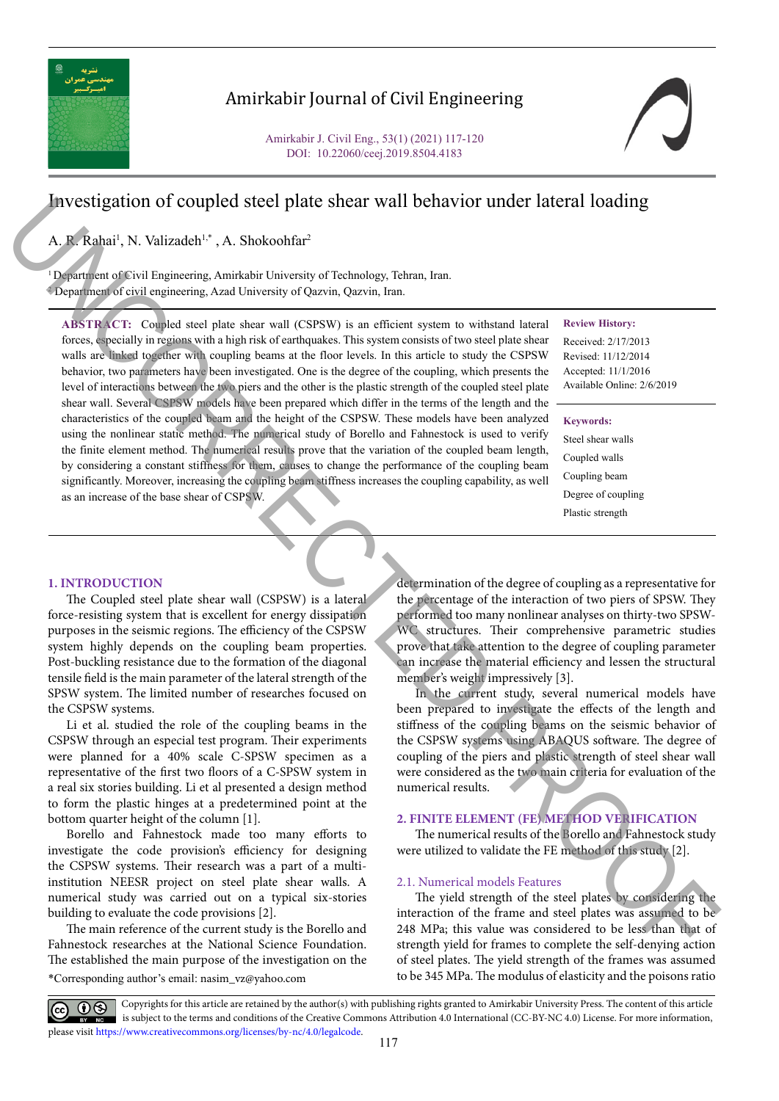

### Amirkabir Journal of Civil Engineering

Amirkabir J. Civil Eng., 53(1) (2021) 117-120 DOI: 10.22060/ceej.2019.8504.4183

# Investigation of coupled steel plate shear wall behavior under lateral loading

A. R. Rahai<sup>1</sup>, N. Valizadeh<sup>1,\*</sup>, A. Shokoohfar<sup>2</sup>

as an increase of the base shear of CSPSW.

<sup>1</sup> Department of Civil Engineering, Amirkabir University of Technology, Tehran, Iran. 2 Department of civil engineering, Azad University of Qazvin, Qazvin, Iran.

**ABSTRACT:** Coupled steel plate shear wall (CSPSW) is an efficient system to withstand lateral forces, especially in regions with a high risk of earthquakes. This system consists of two steel plate shear walls are linked together with coupling beams at the floor levels. In this article to study the CSPSW behavior, two parameters have been investigated. One is the degree of the coupling, which presents the level of interactions between the two piers and the other is the plastic strength of the coupled steel plate shear wall. Several CSPSW models have been prepared which differ in the terms of the length and the characteristics of the coupled beam and the height of the CSPSW. These models have been analyzed using the nonlinear static method. The numerical study of Borello and Fahnestock is used to verify the finite element method. The numerical results prove that the variation of the coupled beam length, by considering a constant stiffness for them, causes to change the performance of the coupling beam significantly. Moreover, increasing the coupling beam stiffness increases the coupling capability, as well

### **Review History:**

Received: 2/17/2013 Revised: 11/12/2014 Accepted: 11/1/2016 Available Online: 2/6/2019

### **Keywords:**

Steel shear walls Coupled walls Coupling beam Degree of coupling Plastic strength

### **1. INTRODUCTION**

The Coupled steel plate shear wall (CSPSW) is a lateral force-resisting system that is excellent for energy dissipation purposes in the seismic regions. The efficiency of the CSPSW system highly depends on the coupling beam properties. Post-buckling resistance due to the formation of the diagonal tensile field is the main parameter of the lateral strength of the SPSW system. The limited number of researches focused on the CSPSW systems. UNCORRECTION (Interaction of the complete study of the state with Delta Viet Interaction and the complete study of the state of the complete study of the state of the complete study of the state of the complete study of t

Li et al. studied the role of the coupling beams in the CSPSW through an especial test program. Their experiments were planned for a 40% scale C-SPSW specimen as a representative of the first two floors of a C-SPSW system in a real six stories building. Li et al presented a design method to form the plastic hinges at a predetermined point at the bottom quarter height of the column [1].

Borello and Fahnestock made too many efforts to investigate the code provision's efficiency for designing the CSPSW systems. Their research was a part of a multiinstitution NEESR project on steel plate shear walls. A numerical study was carried out on a typical six-stories building to evaluate the code provisions [2].

\*Corresponding author's email: nasim\_vz@yahoo.com The main reference of the current study is the Borello and Fahnestock researches at the National Science Foundation. The established the main purpose of the investigation on the

determination of the degree of coupling as a representative for the percentage of the interaction of two piers of SPSW. They performed too many nonlinear analyses on thirty-two SPSW-WC structures. Their comprehensive parametric studies prove that take attention to the degree of coupling parameter can increase the material efficiency and lessen the structural member's weight impressively [3].

In the current study, several numerical models have been prepared to investigate the effects of the length and stiffness of the coupling beams on the seismic behavior of the CSPSW systems using ABAQUS software. The degree of coupling of the piers and plastic strength of steel shear wall were considered as the two main criteria for evaluation of the numerical results.

### **2. FINITE ELEMENT (FE) METHOD VERIFICATION**

The numerical results of the Borello and Fahnestock study were utilized to validate the FE method of this study [2].

#### 2.1. Numerical models Features

The yield strength of the steel plates by considering the interaction of the frame and steel plates was assumed to be 248 MPa; this value was considered to be less than that of strength yield for frames to complete the self-denying action of steel plates. The yield strength of the frames was assumed to be 345 MPa. The modulus of elasticity and the poisons ratio

Copyrights for this article are retained by the author(s) with publishing rights granted to Amirkabir University Press. The content of this article is subject to the terms and conditions of the Creative Commons Attribution 4.0 International (CC-BY-NC 4.0) License. For more information, please visit https://www.creativecommons.org/licenses/by-nc/4.0/legalcode.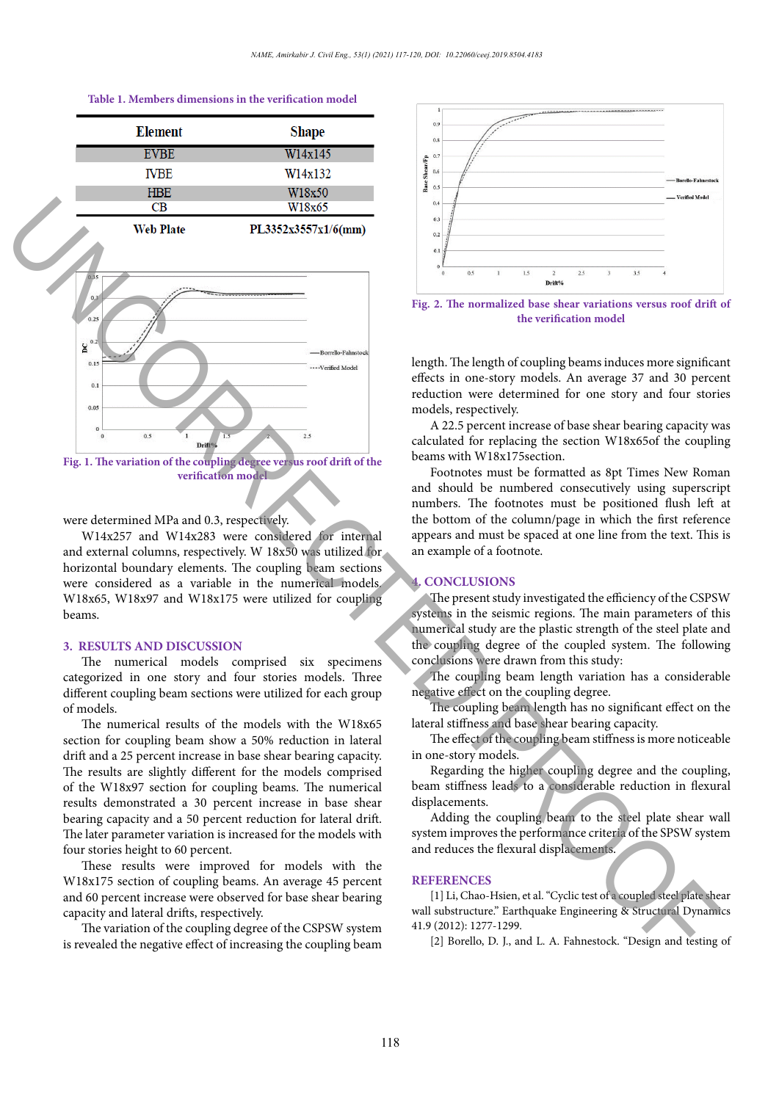# **Table 1. Members dimensions in the verification model Table 1. Members dimensions in the verification model**





**Figure 1. The variation model Fig. 1. The variation of the coupling degree versus roof drift of the** 

### were determined MPa and 0.3, respectively.

W14x257 and W14x283 were considered for internal and external columns, respectively. W 18x50 was utilized for horizontal boundary elements. The coupling beam sections were considered as a variable in the numerical models. W18x65, W18x97 and W18x175 were utilized for coupling beams.

#### **3. RESULTS AND DISCUSSION**

The numerical models comprised six specimens categorized in one story and four stories models. Three different coupling beam sections were utilized for each group of models.

The numerical results of the models with the W18x65 section for coupling beam show a 50% reduction in lateral drift and a 25 percent increase in base shear bearing capacity. The results are slightly different for the models comprised of the W18x97 section for coupling beams. The numerical results demonstrated a 30 percent increase in base shear bearing capacity and a 50 percent reduction for lateral drift. The later parameter variation is increased for the models with four stories height to 60 percent.

These results were improved for models with the W18x175 section of coupling beams. An average 45 percent and 60 percent increase were observed for base shear bearing capacity and lateral drifts, respectively.

The variation of the coupling degree of the CSPSW system is revealed the negative effect of increasing the coupling beam



**Figure 2. The normalized base shear variations versus roof drift of the verification model Fig. 2. The normalized base shear variations versus roof drift of** 

length. The length of coupling beams induces more significant effects in one-story models. An average 37 and 30 percent reduction were determined for one story and four stories models, respectively.

A 22.5 percent increase of base shear bearing capacity was calculated for replacing the section W18x65of the coupling beams with W18x175section.

Footnotes must be formatted as 8pt Times New Roman and should be numbered consecutively using superscript numbers. The footnotes must be positioned flush left at the bottom of the column/page in which the first reference appears and must be spaced at one line from the text. This is an example of a footnote.

### **4. CONCLUSIONS**

The present study investigated the efficiency of the CSPSW systems in the seismic regions. The main parameters of this numerical study are the plastic strength of the steel plate and the coupling degree of the coupled system. The following conclusions were drawn from this study:

The coupling beam length variation has a considerable negative effect on the coupling degree.

The coupling beam length has no significant effect on the lateral stiffness and base shear bearing capacity.

The effect of the coupling beam stiffness is more noticeable in one-story models.

Regarding the higher coupling degree and the coupling, beam stiffness leads to a considerable reduction in flexural displacements.

Adding the coupling beam to the steel plate shear wall system improves the performance criteria of the SPSW system and reduces the flexural displacements.

### **REFERENCES**

[1] Li, Chao‐Hsien, et al. "Cyclic test of a coupled steel plate shear wall substructure." Earthquake Engineering & Structural Dynamics 41.9 (2012): 1277-1299.

[2] Borello, D. J., and L. A. Fahnestock. "Design and testing of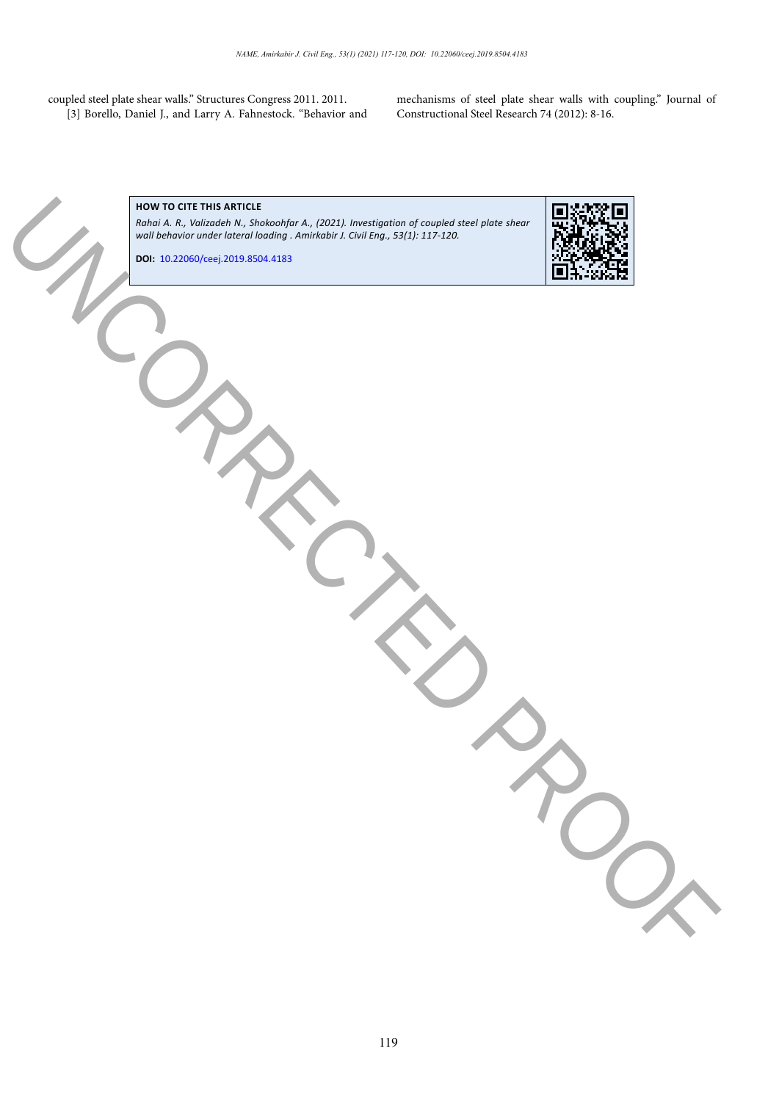coupled steel plate shear walls." Structures Congress 2011. 2011. [3] Borello, Daniel J., and Larry A. Fahnestock. "Behavior and mechanisms of steel plate shear walls with coupling." Journal of Constructional Steel Research 74 (2012): 8-16.

# **HOW TO CITE THIS ARTICLE**

*Rahai A. R., Valizadeh N., Shokoohfar A., (2021). Investigation of coupled steel plate shear wall behavior under lateral loading . Amirkabir J. Civil Eng., 53(1): 117-120.* UNCORRECTED PROOF

**DOI:** 10.22060/ceej.2019.8504.4183